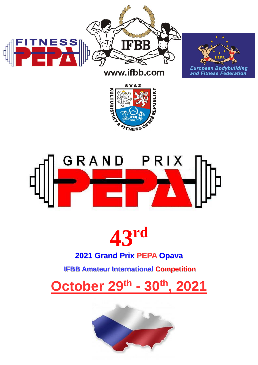





# GRAND PRIX



# **2021 Grand Prix PEPA Opava**

**IFBB Amateur International Competition**

**October 29th - 30th, 2021**

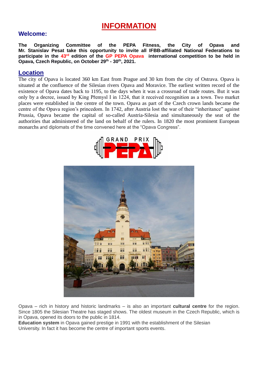# **INFORMATION**

#### **Welcome:**

**The Organizing Committee of the PEPA Fitness, the City of Opava and Mr. Stanislav Pesat take this opportunity to invite all IFBB-affiliated National Federations to participate in the 43rd edition of the GP PEPA Opava international competition to be held in Opava, Czech Republic, on October 29th - 30th, 2021.**

#### **Location**

The city of Opava is located 360 km East from Prague and 30 km from the city of Ostrava. Opava is situated at the confluence of the Silesian rivers Opava and Moravice. The earliest written record of the existence of Opava dates back to 1195, to the days when it was a crossroad of trade routes. But it was only by a decree, issued by King Přemysl I in 1224, that it received recognition as a town. Two market places were established in the centre of the town. Opava as part of the Czech crown lands became the centre of the Opava region's princedom. In 1742, after Austria lost the war of their "inheritance" against Prussia, Opava became the capital of so-called Austria-Silesia and simultaneously the seat of the authorities that administered of the land on behalf of the rulers. In 1820 the most prominent European monarchs and diplomats of the time convened here at the "Opava Congress".





Opava – rich in history and historic landmarks – is also an important **cultural centre** for the region. Since 1805 the Silesian Theatre has staged shows. The oldest museum in the Czech Republic, which is in Opava, opened its doors to the public in 1814.

**Education system** in Opava gained prestige in 1991 with the establishment of the Silesian University. In fact it has become the centre of important sports events.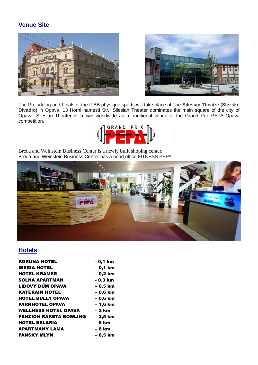# **Venue Site**





The Prejudging and Finals of the IFBB physique sports will take place at The **Silesian Theatre (Slezské Divadlo)** in Opava, 13 Horni namesti Str., Silesian Theater dominates the main square of the city of Opava. Silesian Theater is known worldwide as a traditional venue of the Grand Prix PEPA Opava competition.



Breda and Weinstein Business Center is a newly built shoping center. Breda and Weinstein Business Center has a head office FITNESS PEPA.



# **Hotels**

| <b>KORUNA HOTEL</b>           | - 0,1 km  |
|-------------------------------|-----------|
| <b>IBERIA HOTEL</b>           | $-0,1$ km |
| <b>HOTEL KRAMER</b>           | - 0,2 km  |
| <b>SOLNA APARTMAN</b>         | - 0,3 km  |
| LIDOVÝ DŮM OPAVA              | - 0,5 km  |
| <b>KATERAIN HOTEL</b>         | $-0,6$ km |
| <b>HOTEL BULLY OPAVA</b>      | $-0,6$ km |
| <b>PARKHOTEL OPAVA</b>        | $-1,6$ km |
| <b>WELLNESS HOTEL OPAVA</b>   | – 2 km    |
| <b>PENZION RAKETA BOWLING</b> | $-2,5$ km |
| <b>HOTEL BELARIA</b>          | – 8 km    |
| <b>APARTMANY LAMA</b>         | – 8 km    |
| <b>PANSKY MLYN</b>            | – 8,5 km  |
|                               |           |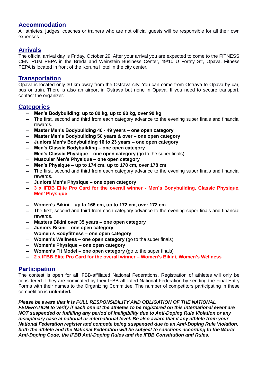#### **Accommodation**

All athletes, judges, coaches or trainers who are not official guests will be responsible for all their own expenses.

#### **Arrivals**

The official arrival day is Friday, October 29. After your arrival you are expected to come to the FITNESS CENTRUM PEPA in the Breda and Weinstein Business Center, 49/10 U Fortny Str, Opava. Fitness PEPA is located in front of the Koruna Hotel in the city center.

#### **Transportation**

Opava is located only 30 km away from the Ostrava city. You can come from Ostrava to Opava by car, bus or train. There is also an airport in Ostrava but none in Opava. If you need to secure transport, contact the organizer.

#### **Categories**

- − **Men's Bodybuilding: up to 80 kg, up to 90 kg, over 90 kg**
- − The first, second and third from each category advance to the evening super finals and financial rewards.
- − **Master Men's Bodybuilding 40 - 49 years – one open category**
- − **Master Men's Bodybuilding 50 years & over – one open category**
- − **Juniors Men's Bodybuilding 16 to 23 years – one open category**
- − **Men's Classic Bodybuilding – one open category**
- − **Men's Classic Physique – one open category** (go to the super finals)
- − **Muscular Men's Physique – one open category**
- − **Men's Physique – up to 174 cm, up to 178 cm, over 178 cm**
- − The first, second and third from each category advance to the evening super finals and financial rewards.
- − **Juniors Men's Physique – one open category**
- − **3 x IFBB Elite Pro Card for the overall winner - Men´s Bodybuilding, Classic Physique, Men' Physique**
- − **Women's Bikini – up to 166 cm, up to 172 cm, over 172 cm**
- − The first, second and third from each category advance to the evening super finals and financial rewards.
- − **Masters Bikini over 35 years – one open category**
- − **Juniors Bikini – one open category**
- − **Women's Bodyfitness – one open category**
- − **Women's Wellness – one open category (**go to the super finals)
- − **Women's Physique – one open category**
- − **Women's Fit Model – one open category (**go to the super finals)
- − **2 x IFBB Elite Pro Card for the overall winner – Women's Bikini, Women's Wellness**

#### **Participation**

The contest is open for all IFBB-affiliated National Federations. Registration of athletes will only be considered if they are nominated by their IFBB-affiliated National Federation by sending the Final Entry Forms with their names to the Organizing Committee. The number of competitors participating in these competition is **unlimited.**

#### *Please be aware that it is FULL RESPONSIBILITY AND OBLIGATION OF THE NATIONAL*

*FEDERATION to verify if each one of the athletes to be registered on this international event are NOT suspended or fulfilling any period of ineligibility due to Anti-Doping Rule Violation or any disciplinary case at national or international level. Be also aware that if any athlete from your National Federation register and compete being suspended due to an Anti-Doping Rule Violation, both the athlete and the National Federation will be subject to sanctions according to the World Anti-Doping Code, the IFBB Anti-Doping Rules and the IFBB Constitution and Rules.*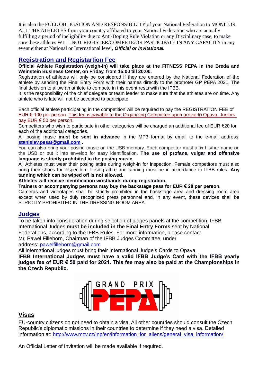It is also the FULL OBLIGATION AND RESPONSIBILITY of your National Federation to MONITOR ALL THE ATHLETES from your country affiliated to your National Federation who are actually fulfilling a period of ineligibility due to Anti-Doping Rule Violation or any Disciplinary case, to make sure these athletes WILL NOT REGISTER/COMPETE/OR PARTICIPATE IN ANY CAPACITY in any event either at National or International level*, Official or Invitational.*

#### **Registration and Registartion Fee**

**Official Athlete Registration (weigh-in) will take place at the FITNESS PEPA in the Breda and Weinstein Business Center, on Friday, from 15:00 till 20:00.**

Registration of athletes will only be considered if they are entered by the National Federation of the athlete by sending the Final Entry Form with their names directly to the promoter GP PEPA 2021. The final decision to allow an athlete to compete in this event rests with the IFBB.

It is the responsibility of the chief delegate or team leader to make sure that the athletes are on time. Any athlete who is late will not be accepted to participate.

Each official athlete participating in the competition will be required to pay the REGISTRATION FEE of EUR € 100 per person. This fee is payable to the Organizing Committee upon arrival to Opava. Juniors pay EUR € 50 per person.

Competitors who wish to participate in other categories will be charged an additional fee of EUR €20 for each of the additional categories.

All posing music **must be sent in advance** in the MP3 format by email to the e-mail address: **[stanislav.pesat@gmail.com](mailto:stanislav.pesat@gmail.com) .**

You can also bring your posing music on the USB memory. Each competitor must affix his/her name on the USB or put it into envelop for easy identification. **The use of profane, vulgar and offensive language is strictly prohibited in the posing music.**

All Athletes must wear their posing attire during weigh-in for inspection. Female competitors must also bring their shoes for inspection. Posing attire and tanning must be in accordance to IFBB rules. **Any tanning which can be wiped off is not allowed.**

**Athletes will receive identification wristbands during registration.**

**Trainers or accompanying persons may buy the backstage pass for EUR € 20 per person.**

Cameras and videotapes shall be strictly prohibited in the backstage area and dressing room area except when used by duly recognized press personnel and, in any event, these devices shall be STRICTLY PROHIBITED IN THE DRESSING ROOM AREA.

#### **Judges**

To be taken into consideration during selection of judges panels at the competition, IFBB International Judges **must be included in the Final Entry Forms** sent by National Federations, according to the IFBB Rules. For more information, please contact Mr. Pawel Filleborn, Chairman of the IFBB Judges Committee, under

address: [pawelfilleborn@gmail.com](mailto:pawelfilleborn@gmail.com)

All international judges must bring their International Judge's Cards to Opava.

**IFBB International Judges must have a valid IFBB Judge's Card with the IFBB yearly judges fee of EUR € 50 paid for 2021. This fee may also be paid at the Championships in the Czech Republic.**



#### **Visas**

EU-country citizens do not need to obtain a visa. All other countries should consult the Czech Republic's diplomatic missions in their countries to determine if they need a visa. Detailed information at: [http://www.mzv.cz/jnp/en/information\\_for\\_aliens/general\\_visa\\_information/](http://www.mzv.cz/jnp/en/information_for_aliens/general_visa_information/)

An Official Letter of Invitation will be made available if required.